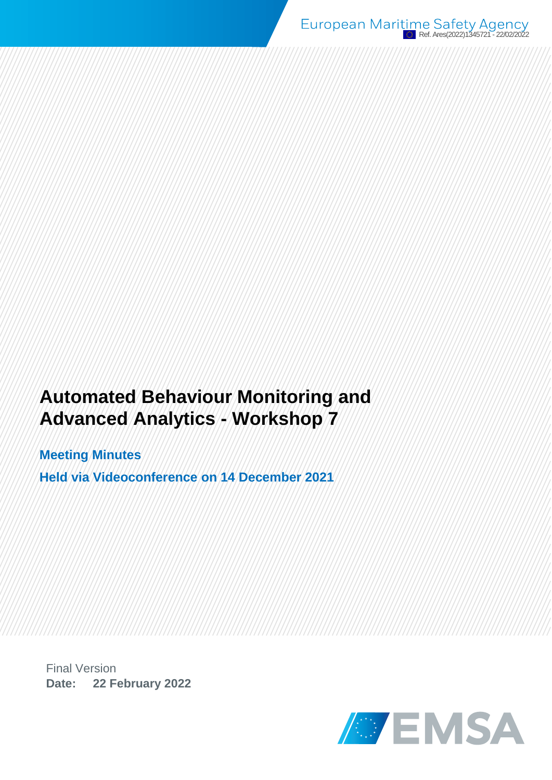# **Automated Behaviour Monitoring and Advanced Analytics - Workshop 7**

**Meeting Minutes Held via Videoconference on 14 December 2021**

Final Version **Date: 22 February 2022**

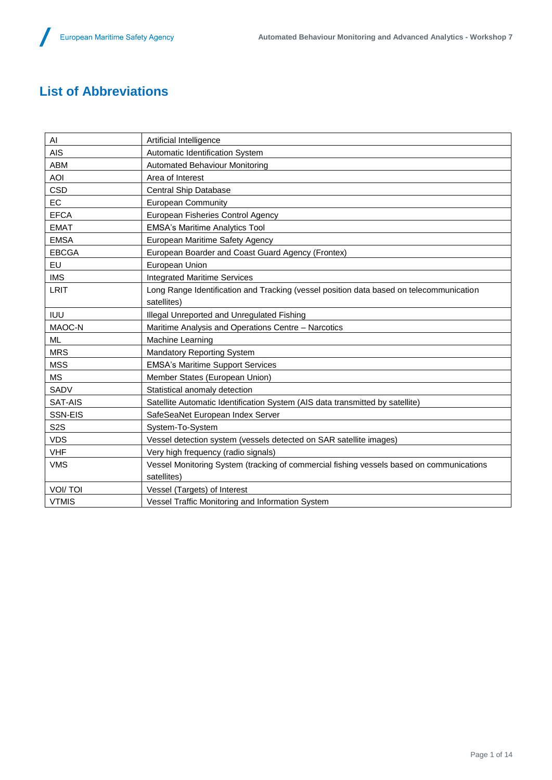## **List of Abbreviations**

| AI               | Artificial Intelligence                                                                  |
|------------------|------------------------------------------------------------------------------------------|
| <b>AIS</b>       | Automatic Identification System                                                          |
| ABM              | <b>Automated Behaviour Monitoring</b>                                                    |
| <b>AOI</b>       | Area of Interest                                                                         |
| <b>CSD</b>       | <b>Central Ship Database</b>                                                             |
| <b>EC</b>        | <b>European Community</b>                                                                |
| <b>EFCA</b>      | European Fisheries Control Agency                                                        |
| <b>EMAT</b>      | <b>EMSA's Maritime Analytics Tool</b>                                                    |
| <b>EMSA</b>      | European Maritime Safety Agency                                                          |
| <b>EBCGA</b>     | European Boarder and Coast Guard Agency (Frontex)                                        |
| EU               | European Union                                                                           |
| <b>IMS</b>       | <b>Integrated Maritime Services</b>                                                      |
| <b>LRIT</b>      | Long Range Identification and Tracking (vessel position data based on telecommunication  |
|                  | satellites)                                                                              |
| <b>IUU</b>       | Illegal Unreported and Unregulated Fishing                                               |
| MAOC-N           | Maritime Analysis and Operations Centre - Narcotics                                      |
| <b>ML</b>        | Machine Learning                                                                         |
| <b>MRS</b>       | <b>Mandatory Reporting System</b>                                                        |
| <b>MSS</b>       | <b>EMSA's Maritime Support Services</b>                                                  |
| <b>MS</b>        | Member States (European Union)                                                           |
| SADV             | Statistical anomaly detection                                                            |
| SAT-AIS          | Satellite Automatic Identification System (AIS data transmitted by satellite)            |
| SSN-EIS          | SafeSeaNet European Index Server                                                         |
| S <sub>2</sub> S | System-To-System                                                                         |
| <b>VDS</b>       | Vessel detection system (vessels detected on SAR satellite images)                       |
| <b>VHF</b>       | Very high frequency (radio signals)                                                      |
| <b>VMS</b>       | Vessel Monitoring System (tracking of commercial fishing vessels based on communications |
|                  | satellites)                                                                              |
|                  |                                                                                          |
| <b>VOI/TOI</b>   | Vessel (Targets) of Interest                                                             |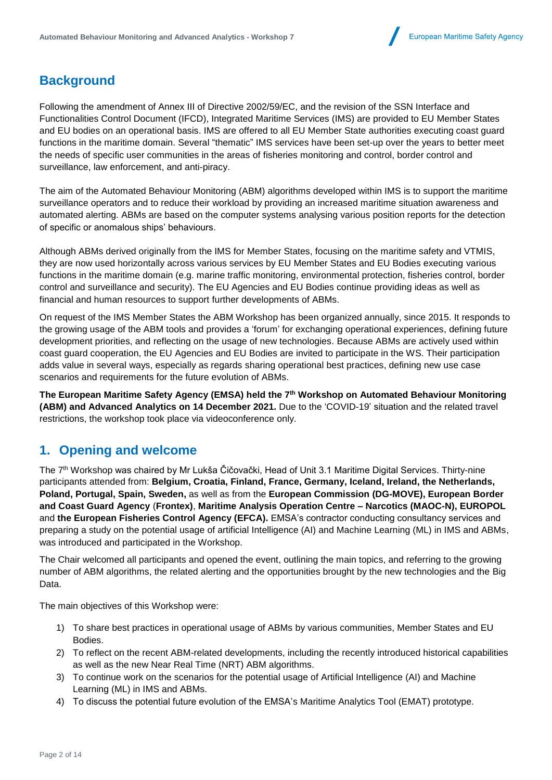## **Background**

Following the amendment of Annex III of Directive 2002/59/EC, and the revision of the SSN Interface and Functionalities Control Document (IFCD), Integrated Maritime Services (IMS) are provided to EU Member States and EU bodies on an operational basis. IMS are offered to all EU Member State authorities executing coast guard functions in the maritime domain. Several "thematic" IMS services have been set-up over the years to better meet the needs of specific user communities in the areas of fisheries monitoring and control, border control and surveillance, law enforcement, and anti-piracy.

The aim of the Automated Behaviour Monitoring (ABM) algorithms developed within IMS is to support the maritime surveillance operators and to reduce their workload by providing an increased maritime situation awareness and automated alerting. ABMs are based on the computer systems analysing various position reports for the detection of specific or anomalous ships' behaviours.

Although ABMs derived originally from the IMS for Member States, focusing on the maritime safety and VTMIS, they are now used horizontally across various services by EU Member States and EU Bodies executing various functions in the maritime domain (e.g. marine traffic monitoring, environmental protection, fisheries control, border control and surveillance and security). The EU Agencies and EU Bodies continue providing ideas as well as financial and human resources to support further developments of ABMs.

On request of the IMS Member States the ABM Workshop has been organized annually, since 2015. It responds to the growing usage of the ABM tools and provides a 'forum' for exchanging operational experiences, defining future development priorities, and reflecting on the usage of new technologies. Because ABMs are actively used within coast guard cooperation, the EU Agencies and EU Bodies are invited to participate in the WS. Their participation adds value in several ways, especially as regards sharing operational best practices, defining new use case scenarios and requirements for the future evolution of ABMs.

**The European Maritime Safety Agency (EMSA) held the 7 th Workshop on Automated Behaviour Monitoring (ABM) and Advanced Analytics on 14 December 2021.** Due to the 'COVID-19' situation and the related travel restrictions, the workshop took place via videoconference only.

### **1. Opening and welcome**

The 7<sup>th</sup> Workshop was chaired by Mr Lukša Čičovački, Head of Unit 3.1 Maritime Digital Services. Thirty-nine participants attended from: **Belgium, Croatia, Finland, France, Germany, Iceland, Ireland, the Netherlands, Poland, Portugal, Spain, Sweden,** as well as from the **European Commission (DG-MOVE), European Border and Coast Guard Agency** (**Frontex)**, **Maritime Analysis Operation Centre – Narcotics (MAOC-N), EUROPOL** and **the European Fisheries Control Agency (EFCA).** EMSA's contractor conducting consultancy services and preparing a study on the potential usage of artificial Intelligence (AI) and Machine Learning (ML) in IMS and ABMs, was introduced and participated in the Workshop.

The Chair welcomed all participants and opened the event, outlining the main topics, and referring to the growing number of ABM algorithms, the related alerting and the opportunities brought by the new technologies and the Big Data.

The main objectives of this Workshop were:

- 1) To share best practices in operational usage of ABMs by various communities, Member States and EU Bodies.
- 2) To reflect on the recent ABM-related developments, including the recently introduced historical capabilities as well as the new Near Real Time (NRT) ABM algorithms.
- 3) To continue work on the scenarios for the potential usage of Artificial Intelligence (AI) and Machine Learning (ML) in IMS and ABMs.
- 4) To discuss the potential future evolution of the EMSA's Maritime Analytics Tool (EMAT) prototype.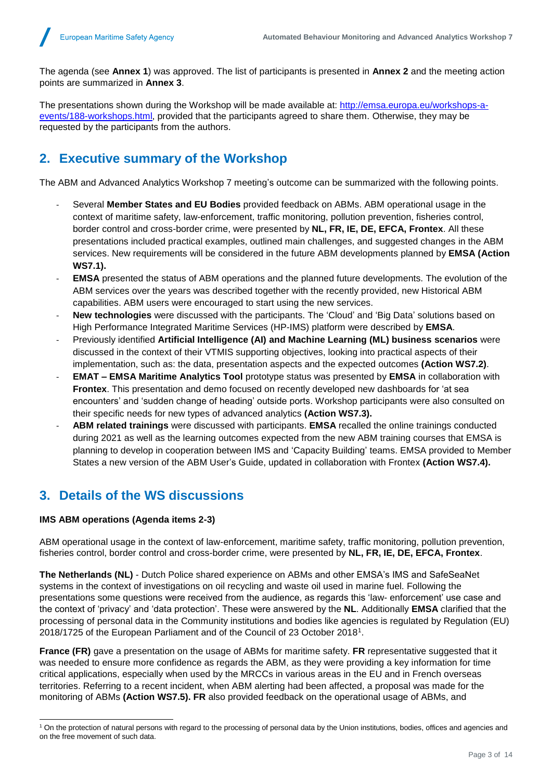The agenda (see **Annex 1**) was approved. The list of participants is presented in **Annex 2** and the meeting action points are summarized in **Annex 3**.

The presentations shown during the Workshop will be made available at: [http://emsa.europa.eu/workshops-a](http://emsa.europa.eu/workshops-a-events/188-workshops.html)[events/188-workshops.html,](http://emsa.europa.eu/workshops-a-events/188-workshops.html) provided that the participants agreed to share them. Otherwise, they may be requested by the participants from the authors.

## **2. Executive summary of the Workshop**

The ABM and Advanced Analytics Workshop 7 meeting's outcome can be summarized with the following points.

- Several **Member States and EU Bodies** provided feedback on ABMs. ABM operational usage in the context of maritime safety, law-enforcement, traffic monitoring, pollution prevention, fisheries control, border control and cross-border crime, were presented by **NL, FR, IE, DE, EFCA, Frontex**. All these presentations included practical examples, outlined main challenges, and suggested changes in the ABM services. New requirements will be considered in the future ABM developments planned by **EMSA (Action WS7.1).**
- **EMSA** presented the status of ABM operations and the planned future developments. The evolution of the ABM services over the years was described together with the recently provided, new Historical ABM capabilities. ABM users were encouraged to start using the new services.
- New technologies were discussed with the participants. The 'Cloud' and 'Big Data' solutions based on High Performance Integrated Maritime Services (HP-IMS) platform were described by **EMSA**.
- Previously identified **Artificial Intelligence (AI) and Machine Learning (ML) business scenarios** were discussed in the context of their VTMIS supporting objectives, looking into practical aspects of their implementation, such as: the data, presentation aspects and the expected outcomes **(Action WS7.2)**.
- **EMAT – EMSA Maritime Analytics Tool** prototype status was presented by **EMSA** in collaboration with **Frontex**. This presentation and demo focused on recently developed new dashboards for 'at sea encounters' and 'sudden change of heading' outside ports. Workshop participants were also consulted on their specific needs for new types of advanced analytics **(Action WS7.3).**
- **ABM related trainings** were discussed with participants. **EMSA** recalled the online trainings conducted during 2021 as well as the learning outcomes expected from the new ABM training courses that EMSA is planning to develop in cooperation between IMS and 'Capacity Building' teams. EMSA provided to Member States a new version of the ABM User's Guide, updated in collaboration with Frontex **(Action WS7.4).**

### **3. Details of the WS discussions**

#### **IMS ABM operations (Agenda items 2-3)**

l

ABM operational usage in the context of law-enforcement, maritime safety, traffic monitoring, pollution prevention, fisheries control, border control and cross-border crime, were presented by **NL, FR, IE, DE, EFCA, Frontex**.

**The Netherlands (NL)** - Dutch Police shared experience on ABMs and other EMSA's IMS and SafeSeaNet systems in the context of investigations on oil recycling and waste oil used in marine fuel. Following the presentations some questions were received from the audience, as regards this 'law- enforcement' use case and the context of 'privacy' and 'data protection'. These were answered by the **NL**. Additionally **EMSA** clarified that the processing of personal data in the Community institutions and bodies like agencies is regulated by Regulation (EU) 2018/1725 of the European Parliament and of the Council of 23 October 2018<sup>1</sup> .

**France (FR)** gave a presentation on the usage of ABMs for maritime safety. **FR** representative suggested that it was needed to ensure more confidence as regards the ABM, as they were providing a key information for time critical applications, especially when used by the MRCCs in various areas in the EU and in French overseas territories. Referring to a recent incident, when ABM alerting had been affected, a proposal was made for the monitoring of ABMs **(Action WS7.5). FR** also provided feedback on the operational usage of ABMs, and

<sup>&</sup>lt;sup>1</sup> On the protection of natural persons with regard to the processing of personal data by the Union institutions, bodies, offices and agencies and on the free movement of such data.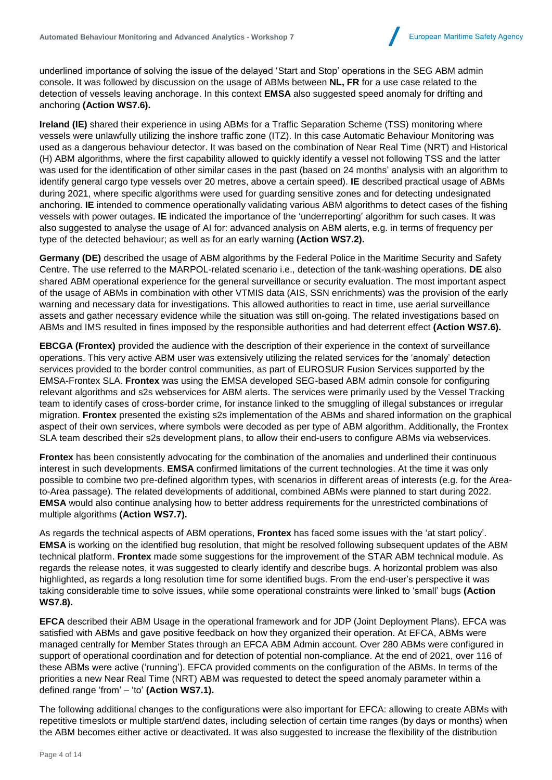

underlined importance of solving the issue of the delayed 'Start and Stop' operations in the SEG ABM admin console. It was followed by discussion on the usage of ABMs between **NL, FR** for a use case related to the detection of vessels leaving anchorage. In this context **EMSA** also suggested speed anomaly for drifting and anchoring **(Action WS7.6).**

**Ireland (IE)** shared their experience in using ABMs for a Traffic Separation Scheme (TSS) monitoring where vessels were unlawfully utilizing the inshore traffic zone (ITZ). In this case Automatic Behaviour Monitoring was used as a dangerous behaviour detector. It was based on the combination of Near Real Time (NRT) and Historical (H) ABM algorithms, where the first capability allowed to quickly identify a vessel not following TSS and the latter was used for the identification of other similar cases in the past (based on 24 months' analysis with an algorithm to identify general cargo type vessels over 20 metres, above a certain speed). **IE** described practical usage of ABMs during 2021, where specific algorithms were used for guarding sensitive zones and for detecting undesignated anchoring. **IE** intended to commence operationally validating various ABM algorithms to detect cases of the fishing vessels with power outages. **IE** indicated the importance of the 'underreporting' algorithm for such cases. It was also suggested to analyse the usage of AI for: advanced analysis on ABM alerts, e.g. in terms of frequency per type of the detected behaviour; as well as for an early warning **(Action WS7.2).**

**Germany (DE)** described the usage of ABM algorithms by the Federal Police in the Maritime Security and Safety Centre. The use referred to the MARPOL-related scenario i.e., detection of the tank-washing operations. **DE** also shared ABM operational experience for the general surveillance or security evaluation. The most important aspect of the usage of ABMs in combination with other VTMIS data (AIS, SSN enrichments) was the provision of the early warning and necessary data for investigations. This allowed authorities to react in time, use aerial surveillance assets and gather necessary evidence while the situation was still on-going. The related investigations based on ABMs and IMS resulted in fines imposed by the responsible authorities and had deterrent effect **(Action WS7.6).**

**EBCGA (Frontex)** provided the audience with the description of their experience in the context of surveillance operations. This very active ABM user was extensively utilizing the related services for the 'anomaly' detection services provided to the border control communities, as part of EUROSUR Fusion Services supported by the EMSA-Frontex SLA. **Frontex** was using the EMSA developed SEG-based ABM admin console for configuring relevant algorithms and s2s webservices for ABM alerts. The services were primarily used by the Vessel Tracking team to identify cases of cross-border crime, for instance linked to the smuggling of illegal substances or irregular migration. **Frontex** presented the existing s2s implementation of the ABMs and shared information on the graphical aspect of their own services, where symbols were decoded as per type of ABM algorithm. Additionally, the Frontex SLA team described their s2s development plans, to allow their end-users to configure ABMs via webservices.

**Frontex** has been consistently advocating for the combination of the anomalies and underlined their continuous interest in such developments. **EMSA** confirmed limitations of the current technologies. At the time it was only possible to combine two pre-defined algorithm types, with scenarios in different areas of interests (e.g. for the Areato-Area passage). The related developments of additional, combined ABMs were planned to start during 2022. **EMSA** would also continue analysing how to better address requirements for the unrestricted combinations of multiple algorithms **(Action WS7.7).**

As regards the technical aspects of ABM operations, **Frontex** has faced some issues with the 'at start policy'. **EMSA** is working on the identified bug resolution, that might be resolved following subsequent updates of the ABM technical platform. **Frontex** made some suggestions for the improvement of the STAR ABM technical module. As regards the release notes, it was suggested to clearly identify and describe bugs. A horizontal problem was also highlighted, as regards a long resolution time for some identified bugs. From the end-user's perspective it was taking considerable time to solve issues, while some operational constraints were linked to 'small' bugs **(Action WS7.8).**

**EFCA** described their ABM Usage in the operational framework and for JDP (Joint Deployment Plans). EFCA was satisfied with ABMs and gave positive feedback on how they organized their operation. At EFCA, ABMs were managed centrally for Member States through an EFCA ABM Admin account. Over 280 ABMs were configured in support of operational coordination and for detection of potential non-compliance. At the end of 2021, over 116 of these ABMs were active ('running'). EFCA provided comments on the configuration of the ABMs. In terms of the priorities a new Near Real Time (NRT) ABM was requested to detect the speed anomaly parameter within a defined range 'from' – 'to' **(Action WS7.1).**

The following additional changes to the configurations were also important for EFCA: allowing to create ABMs with repetitive timeslots or multiple start/end dates, including selection of certain time ranges (by days or months) when the ABM becomes either active or deactivated. It was also suggested to increase the flexibility of the distribution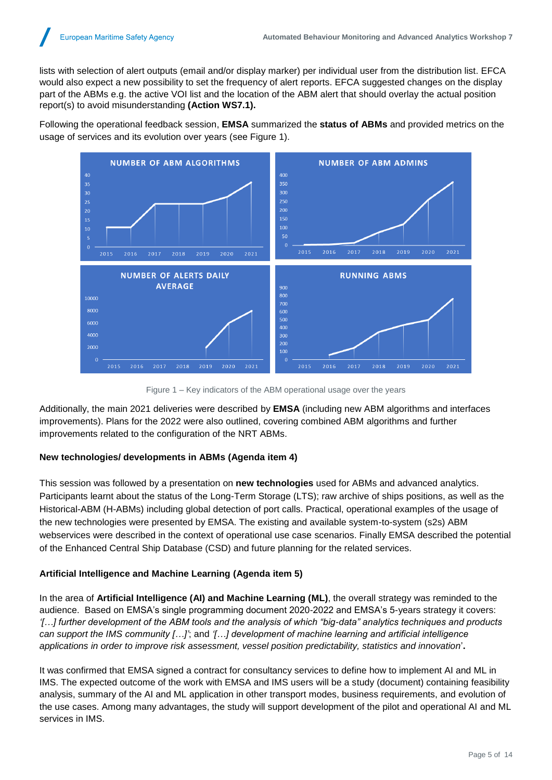lists with selection of alert outputs (email and/or display marker) per individual user from the distribution list. EFCA would also expect a new possibility to set the frequency of alert reports. EFCA suggested changes on the display part of the ABMs e.g. the active VOI list and the location of the ABM alert that should overlay the actual position report(s) to avoid misunderstanding **(Action WS7.1).**

Following the operational feedback session, **EMSA** summarized the **status of ABMs** and provided metrics on the usage of services and its evolution over years (see [Figure 1\)](#page-6-0).



Figure 1 – Key indicators of the ABM operational usage over the years

<span id="page-6-0"></span>Additionally, the main 2021 deliveries were described by **EMSA** (including new ABM algorithms and interfaces improvements). Plans for the 2022 were also outlined, covering combined ABM algorithms and further improvements related to the configuration of the NRT ABMs.

#### **New technologies/ developments in ABMs (Agenda item 4)**

This session was followed by a presentation on **new technologies** used for ABMs and advanced analytics. Participants learnt about the status of the Long-Term Storage (LTS); raw archive of ships positions, as well as the Historical-ABM (H-ABMs) including global detection of port calls. Practical, operational examples of the usage of the new technologies were presented by EMSA. The existing and available system-to-system (s2s) ABM webservices were described in the context of operational use case scenarios. Finally EMSA described the potential of the Enhanced Central Ship Database (CSD) and future planning for the related services.

#### **Artificial Intelligence and Machine Learning (Agenda item 5)**

In the area of **Artificial Intelligence (AI) and Machine Learning (ML)**, the overall strategy was reminded to the audience. Based on EMSA's single programming document 2020-2022 and EMSA's 5-years strategy it covers: *'[…] further development of the ABM tools and the analysis of which "big-data" analytics techniques and products can support the IMS community […]'*; and *'[…] development of machine learning and artificial intelligence applications in order to improve risk assessment, vessel position predictability, statistics and innovation*'**.**

It was confirmed that EMSA signed a contract for consultancy services to define how to implement AI and ML in IMS. The expected outcome of the work with EMSA and IMS users will be a study (document) containing feasibility analysis, summary of the AI and ML application in other transport modes, business requirements, and evolution of the use cases. Among many advantages, the study will support development of the pilot and operational AI and ML services in IMS.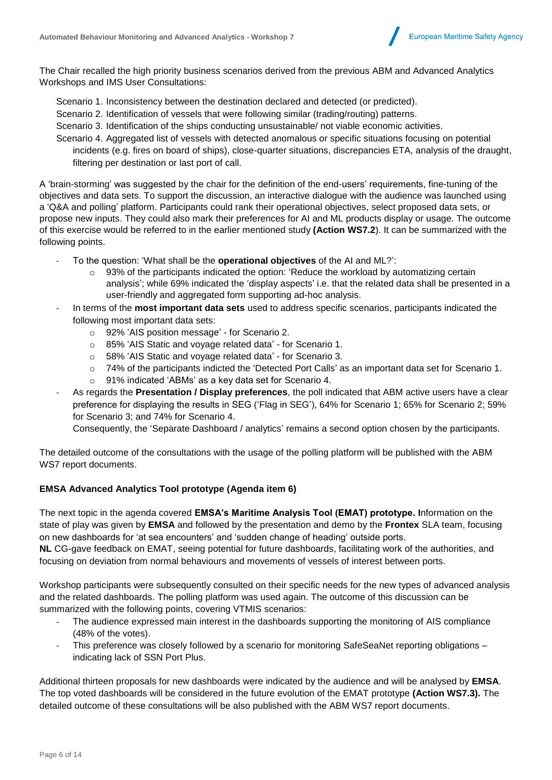

The Chair recalled the high priority business scenarios derived from the previous ABM and Advanced Analytics Workshops and IMS User Consultations:

Scenario 1. Inconsistency between the destination declared and detected (or predicted).

- Scenario 2. Identification of vessels that were following similar (trading/routing) patterns.
- Scenario 3. Identification of the ships conducting unsustainable/ not viable economic activities.
- Scenario 4. Aggregated list of vessels with detected anomalous or specific situations focusing on potential incidents (e.g. fires on board of ships), close-quarter situations, discrepancies ETA, analysis of the draught, filtering per destination or last port of call.

A 'brain-storming' was suggested by the chair for the definition of the end-users' requirements, fine-tuning of the objectives and data sets. To support the discussion, an interactive dialogue with the audience was launched using a 'Q&A and polling' platform. Participants could rank their operational objectives, select proposed data sets, or propose new inputs. They could also mark their preferences for AI and ML products display or usage. The outcome of this exercise would be referred to in the earlier mentioned study **(Action WS7.2**). It can be summarized with the following points.

- To the question: 'What shall be the **operational objectives** of the AI and ML?':
	- $\circ$  93% of the participants indicated the option: 'Reduce the workload by automatizing certain analysis'; while 69% indicated the 'display aspects' i.e. that the related data shall be presented in a user-friendly and aggregated form supporting ad-hoc analysis.
- In terms of the **most important data sets** used to address specific scenarios, participants indicated the following most important data sets:
	- o 92% 'AIS position message' for Scenario 2.
	- o 85% 'AIS Static and voyage related data' for Scenario 1.
	- o 58% 'AIS Static and voyage related data' for Scenario 3.
	- o 74% of the participants indicted the 'Detected Port Calls' as an important data set for Scenario 1.
	- o 91% indicated 'ABMs' as a key data set for Scenario 4.
- As regards the **Presentation / Display preferences**, the poll indicated that ABM active users have a clear preference for displaying the results in SEG ('Flag in SEG'), 64% for Scenario 1; 65% for Scenario 2; 59% for Scenario 3; and 74% for Scenario 4.

Consequently, the 'Separate Dashboard / analytics' remains a second option chosen by the participants.

The detailed outcome of the consultations with the usage of the polling platform will be published with the ABM WS7 report documents.

#### **EMSA Advanced Analytics Tool prototype (Agenda item 6)**

The next topic in the agenda covered **EMSA's Maritime Analysis Tool (EMAT) prototype. I**nformation on the state of play was given by **EMSA** and followed by the presentation and demo by the **Frontex** SLA team, focusing on new dashboards for 'at sea encounters' and 'sudden change of heading' outside ports.

**NL** CG-gave feedback on EMAT, seeing potential for future dashboards, facilitating work of the authorities, and focusing on deviation from normal behaviours and movements of vessels of interest between ports.

Workshop participants were subsequently consulted on their specific needs for the new types of advanced analysis and the related dashboards. The polling platform was used again. The outcome of this discussion can be summarized with the following points, covering VTMIS scenarios:

- The audience expressed main interest in the dashboards supporting the monitoring of AIS compliance (48% of the votes).
- This preference was closely followed by a scenario for monitoring SafeSeaNet reporting obligations indicating lack of SSN Port Plus.

Additional thirteen proposals for new dashboards were indicated by the audience and will be analysed by **EMSA**. The top voted dashboards will be considered in the future evolution of the EMAT prototype **(Action WS7.3).** The detailed outcome of these consultations will be also published with the ABM WS7 report documents.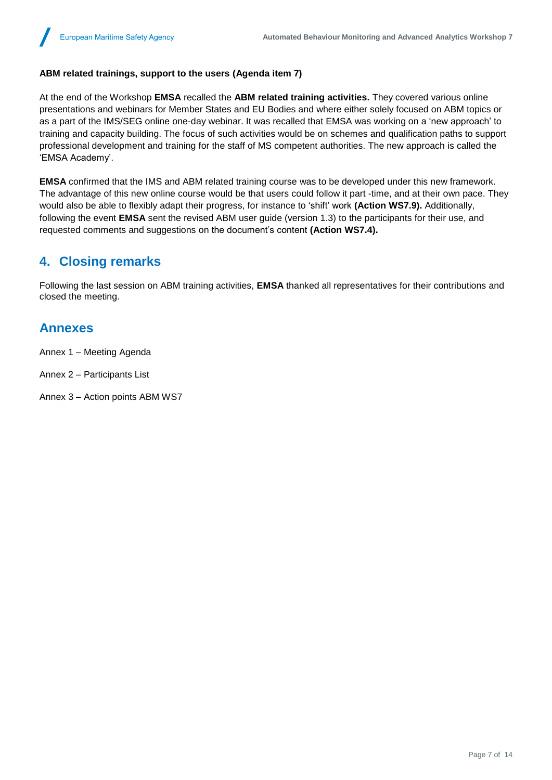#### **ABM related trainings, support to the users (Agenda item 7)**

At the end of the Workshop **EMSA** recalled the **ABM related training activities.** They covered various online presentations and webinars for Member States and EU Bodies and where either solely focused on ABM topics or as a part of the IMS/SEG online one-day webinar. It was recalled that EMSA was working on a 'new approach' to training and capacity building. The focus of such activities would be on schemes and qualification paths to support professional development and training for the staff of MS competent authorities. The new approach is called the 'EMSA Academy'.

**EMSA** confirmed that the IMS and ABM related training course was to be developed under this new framework. The advantage of this new online course would be that users could follow it part -time, and at their own pace. They would also be able to flexibly adapt their progress, for instance to 'shift' work **(Action WS7.9).** Additionally, following the event **EMSA** sent the revised ABM user guide (version 1.3) to the participants for their use, and requested comments and suggestions on the document's content **(Action WS7.4).**

### **4. Closing remarks**

Following the last session on ABM training activities, **EMSA** thanked all representatives for their contributions and closed the meeting.

#### **Annexes**

Annex 1 – Meeting Agenda

Annex 2 – Participants List

Annex 3 – Action points ABM WS7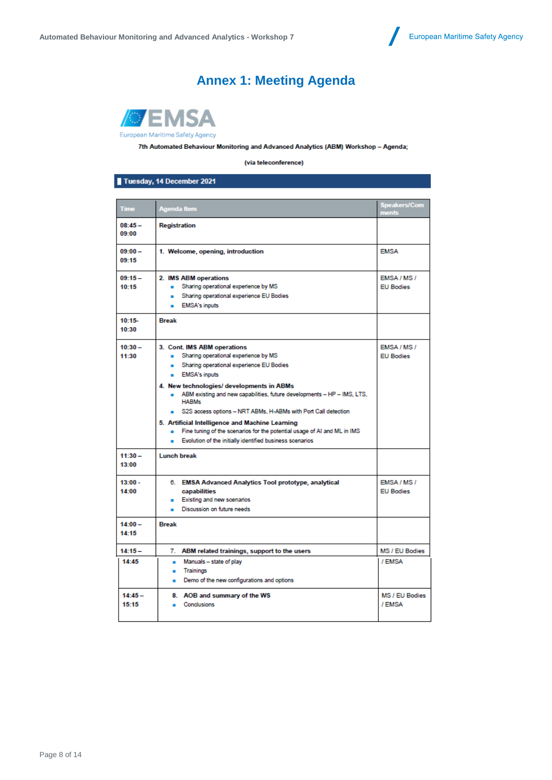## **Annex 1: Meeting Agenda**



7th Automated Behaviour Monitoring and Advanced Analytics (ABM) Workshop - Agenda;

(via teleconference)

Tuesday, 14 December 2021

| Time               | <b>Agenda Item</b>                                                                                                                                                                                                                                                                                                                                                                                                                                                                                                                                               | <b>Speakers/Com</b><br>ments        |
|--------------------|------------------------------------------------------------------------------------------------------------------------------------------------------------------------------------------------------------------------------------------------------------------------------------------------------------------------------------------------------------------------------------------------------------------------------------------------------------------------------------------------------------------------------------------------------------------|-------------------------------------|
| $08:45-$<br>09:00  | <b>Registration</b>                                                                                                                                                                                                                                                                                                                                                                                                                                                                                                                                              |                                     |
| $09:00 -$<br>09:15 | 1. Welcome, opening, introduction                                                                                                                                                                                                                                                                                                                                                                                                                                                                                                                                | <b>EMSA</b>                         |
| $09:15-$<br>10:15  | 2. IMS ABM operations<br>Sharing operational experience by MS<br>$\mathbf{r}$<br>Sharing operational experience EU Bodies<br>. .<br><b>EMSA's inputs</b>                                                                                                                                                                                                                                                                                                                                                                                                         | EMSA/MS/<br><b>EU Bodies</b>        |
| $10:15-$<br>10:30  | <b>Break</b>                                                                                                                                                                                                                                                                                                                                                                                                                                                                                                                                                     |                                     |
| $10:30 -$<br>11:30 | 3. Cont. IMS ABM operations<br>Sharing operational experience by MS<br>. .<br>Sharing operational experience EU Bodies<br>a.<br><b>EMSA's inputs</b><br>4. New technologies/ developments in ABMs<br>ABM existing and new capabilities, future developments - HP - IMS, LTS,<br><b>HABMs</b><br>S2S access options - NRT ABMs, H-ABMs with Port Call detection<br>5. Artificial Intelligence and Machine Learning<br>Fine tuning of the scenarios for the potential usage of AI and ML in IMS<br>Evolution of the initially identified business scenarios<br>. . | <b>EMSA/MS/</b><br><b>EU Bodies</b> |
| $11:30 -$<br>13:00 | <b>Lunch break</b>                                                                                                                                                                                                                                                                                                                                                                                                                                                                                                                                               |                                     |
| $13:00 -$<br>14:00 | 6. EMSA Advanced Analytics Tool prototype, analytical<br>capabilities<br>Existing and new scenarios<br>. .<br>Discussion on future needs<br>. .                                                                                                                                                                                                                                                                                                                                                                                                                  | EMSA/MS/<br><b>EU Bodies</b>        |
| $14:00 -$<br>14:15 | <b>Break</b>                                                                                                                                                                                                                                                                                                                                                                                                                                                                                                                                                     |                                     |
| $14:15 -$          | 7. ABM related trainings, support to the users                                                                                                                                                                                                                                                                                                                                                                                                                                                                                                                   | MS / EU Bodies                      |
| 14:45              | Manuals - state of play<br>٠.<br><b>Trainings</b><br>٠<br>Demo of the new configurations and options                                                                                                                                                                                                                                                                                                                                                                                                                                                             | / FMSA                              |
| $14:45-$<br>15:15  | 8. AOB and summary of the WS<br><b>Conclusions</b>                                                                                                                                                                                                                                                                                                                                                                                                                                                                                                               | MS / EU Bodies<br>/ EMSA            |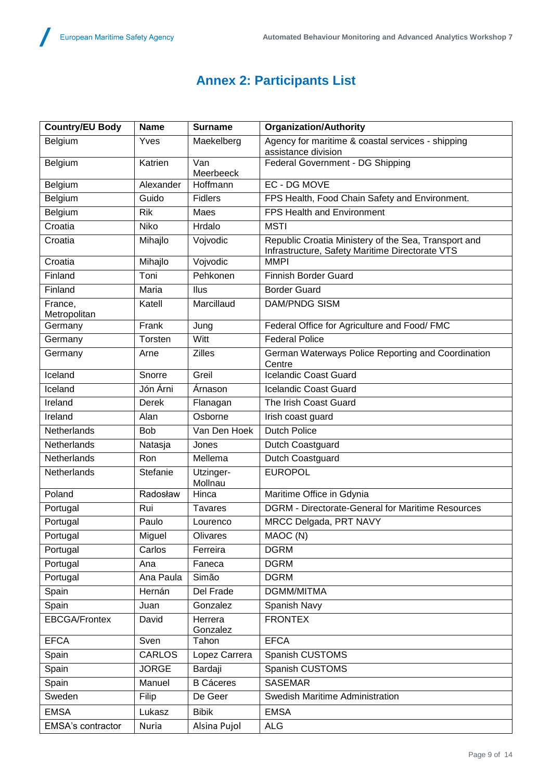## **Annex 2: Participants List**

| <b>Country/EU Body</b>  | <b>Name</b>    | <b>Surname</b>       | <b>Organization/Authority</b>                                                                           |  |
|-------------------------|----------------|----------------------|---------------------------------------------------------------------------------------------------------|--|
| Belgium                 | Yves           | Maekelberg           | Agency for maritime & coastal services - shipping<br>assistance division                                |  |
| Belgium                 | Katrien        | Van<br>Meerbeeck     | Federal Government - DG Shipping                                                                        |  |
| Belgium                 | Alexander      | Hoffmann             | EC - DG MOVE                                                                                            |  |
| Belgium                 | Guido          | <b>Fidlers</b>       | FPS Health, Food Chain Safety and Environment.                                                          |  |
| Belgium                 | Rik            | Maes                 | <b>FPS Health and Environment</b>                                                                       |  |
| Croatia                 | <b>Niko</b>    | Hrdalo               | <b>MSTI</b>                                                                                             |  |
| Croatia                 | Mihajlo        | Vojvodic             | Republic Croatia Ministery of the Sea, Transport and<br>Infrastructure, Safety Maritime Directorate VTS |  |
| Croatia                 | Mihajlo        | Vojvodic             | <b>MMPI</b>                                                                                             |  |
| Finland                 | Toni           | Pehkonen             | <b>Finnish Border Guard</b>                                                                             |  |
| Finland                 | Maria          | Ilus                 | <b>Border Guard</b>                                                                                     |  |
| France,<br>Metropolitan | Katell         | Marcillaud           | <b>DAM/PNDG SISM</b>                                                                                    |  |
| Germany                 | Frank          | Jung                 | Federal Office for Agriculture and Food/FMC                                                             |  |
| Germany                 | <b>Torsten</b> | Witt                 | <b>Federal Police</b>                                                                                   |  |
| Germany                 | Arne           | <b>Zilles</b>        | German Waterways Police Reporting and Coordination<br>Centre                                            |  |
| Iceland                 | Snorre         | Greil                | <b>Icelandic Coast Guard</b>                                                                            |  |
| Iceland                 | Jón Árni       | Arnason              | Icelandic Coast Guard                                                                                   |  |
| Ireland                 | Derek          | Flanagan             | The Irish Coast Guard                                                                                   |  |
| Ireland                 | Alan           | Osborne              | Irish coast guard                                                                                       |  |
| Netherlands             | <b>Bob</b>     | Van Den Hoek         | <b>Dutch Police</b>                                                                                     |  |
| Netherlands             | Natasja        | Jones                | Dutch Coastguard                                                                                        |  |
| Netherlands             | Ron            | Mellema              | Dutch Coastguard                                                                                        |  |
| Netherlands             | Stefanie       | Utzinger-<br>Mollnau | <b>EUROPOL</b>                                                                                          |  |
| Poland                  | Radosław       | Hinca                | Maritime Office in Gdynia                                                                               |  |
| Portugal                | Rui            | <b>Tavares</b>       | <b>DGRM - Directorate-General for Maritime Resources</b>                                                |  |
| Portugal                | Paulo          | Lourenco             | MRCC Delgada, PRT NAVY                                                                                  |  |
| Portugal                | Miguel         | Olivares             | MAOC (N)                                                                                                |  |
| Portugal                | Carlos         | Ferreira             | <b>DGRM</b>                                                                                             |  |
| Portugal                | Ana            | Faneca               | <b>DGRM</b>                                                                                             |  |
| Portugal                | Ana Paula      | Simão                | <b>DGRM</b>                                                                                             |  |
| Spain                   | Hernán         | Del Frade            | <b>DGMM/MITMA</b>                                                                                       |  |
| Spain                   | Juan           | Gonzalez             | Spanish Navy                                                                                            |  |
| <b>EBCGA/Frontex</b>    | David          | Herrera<br>Gonzalez  | <b>FRONTEX</b>                                                                                          |  |
| <b>EFCA</b>             | Sven           | Tahon                | <b>EFCA</b>                                                                                             |  |
| Spain                   | <b>CARLOS</b>  | Lopez Carrera        | Spanish CUSTOMS                                                                                         |  |
| Spain                   | <b>JORGE</b>   | Bardaji              | Spanish CUSTOMS                                                                                         |  |
| Spain                   | Manuel         | <b>B</b> Cáceres     | <b>SASEMAR</b>                                                                                          |  |
| Sweden                  | Filip          | De Geer              | Swedish Maritime Administration                                                                         |  |
| <b>EMSA</b>             | Lukasz         | <b>Bibik</b>         | <b>EMSA</b>                                                                                             |  |
| EMSA's contractor       | Nuria          | Alsina Pujol         | <b>ALG</b>                                                                                              |  |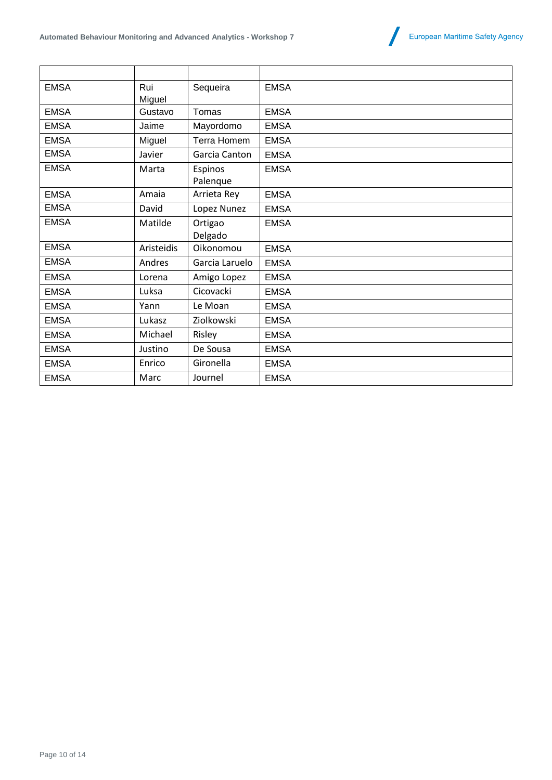

| <b>EMSA</b> | Rui<br>Miguel | Sequeira            | <b>EMSA</b> |
|-------------|---------------|---------------------|-------------|
| <b>EMSA</b> | Gustavo       | Tomas               | <b>EMSA</b> |
| <b>EMSA</b> | Jaime         | Mayordomo           | <b>EMSA</b> |
| <b>EMSA</b> | Miguel        | Terra Homem         | <b>EMSA</b> |
| <b>EMSA</b> | Javier        | Garcia Canton       | <b>EMSA</b> |
| <b>EMSA</b> | Marta         | Espinos<br>Palenque | <b>EMSA</b> |
| <b>EMSA</b> | Amaia         | Arrieta Rey         | <b>EMSA</b> |
| <b>EMSA</b> | David         | Lopez Nunez         | <b>EMSA</b> |
| <b>EMSA</b> | Matilde       | Ortigao<br>Delgado  | <b>EMSA</b> |
| <b>EMSA</b> | Aristeidis    | Oikonomou           | <b>EMSA</b> |
| <b>EMSA</b> | Andres        | Garcia Laruelo      | <b>EMSA</b> |
| <b>EMSA</b> | Lorena        | Amigo Lopez         | <b>EMSA</b> |
| <b>EMSA</b> | Luksa         | Cicovacki           | <b>EMSA</b> |
| <b>EMSA</b> | Yann          | Le Moan             | <b>EMSA</b> |
| <b>EMSA</b> | Lukasz        | Ziolkowski          | <b>EMSA</b> |
| <b>EMSA</b> | Michael       | Risley              | <b>EMSA</b> |
| <b>EMSA</b> | Justino       | De Sousa            | <b>EMSA</b> |
| <b>EMSA</b> | Enrico        | Gironella           | <b>EMSA</b> |
| <b>EMSA</b> | Marc          | Journel             | <b>EMSA</b> |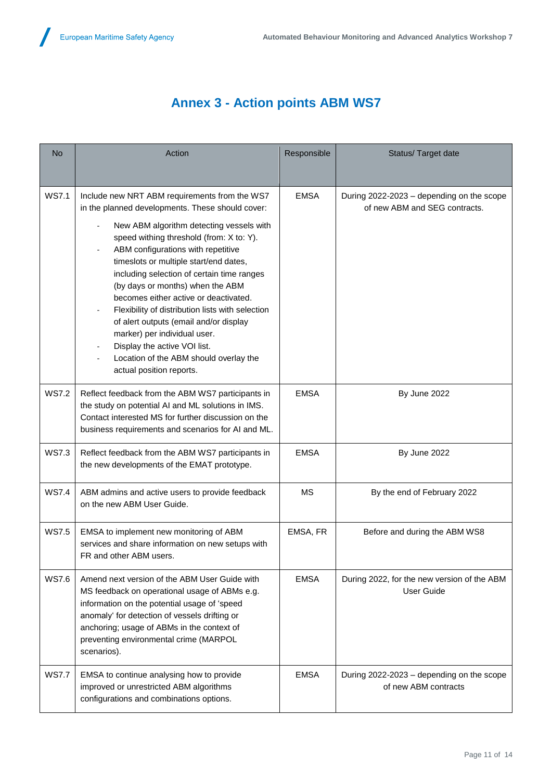## **Annex 3 - Action points ABM WS7**

| <b>No</b>    | Action                                                                                                                                                                                                                                                                                                                                                                                                                                                                                                                                                                                                                                   | Responsible | Status/ Target date                                                        |
|--------------|------------------------------------------------------------------------------------------------------------------------------------------------------------------------------------------------------------------------------------------------------------------------------------------------------------------------------------------------------------------------------------------------------------------------------------------------------------------------------------------------------------------------------------------------------------------------------------------------------------------------------------------|-------------|----------------------------------------------------------------------------|
|              |                                                                                                                                                                                                                                                                                                                                                                                                                                                                                                                                                                                                                                          |             |                                                                            |
| <b>WS7.1</b> | Include new NRT ABM requirements from the WS7<br>in the planned developments. These should cover:<br>New ABM algorithm detecting vessels with<br>speed withing threshold (from: X to: Y).<br>ABM configurations with repetitive<br>timeslots or multiple start/end dates,<br>including selection of certain time ranges<br>(by days or months) when the ABM<br>becomes either active or deactivated.<br>Flexibility of distribution lists with selection<br>of alert outputs (email and/or display<br>marker) per individual user.<br>Display the active VOI list.<br>Location of the ABM should overlay the<br>actual position reports. | <b>EMSA</b> | During 2022-2023 - depending on the scope<br>of new ABM and SEG contracts. |
| <b>WS7.2</b> | Reflect feedback from the ABM WS7 participants in<br>the study on potential AI and ML solutions in IMS.<br>Contact interested MS for further discussion on the<br>business requirements and scenarios for AI and ML.                                                                                                                                                                                                                                                                                                                                                                                                                     | <b>EMSA</b> | By June 2022                                                               |
| <b>WS7.3</b> | Reflect feedback from the ABM WS7 participants in<br>the new developments of the EMAT prototype.                                                                                                                                                                                                                                                                                                                                                                                                                                                                                                                                         | <b>EMSA</b> | By June 2022                                                               |
| <b>WS7.4</b> | ABM admins and active users to provide feedback<br>on the new ABM User Guide.                                                                                                                                                                                                                                                                                                                                                                                                                                                                                                                                                            | MS          | By the end of February 2022                                                |
| <b>WS7.5</b> | EMSA to implement new monitoring of ABM<br>services and share information on new setups with<br>FR and other ABM users.                                                                                                                                                                                                                                                                                                                                                                                                                                                                                                                  | EMSA, FR    | Before and during the ABM WS8                                              |
| <b>WS7.6</b> | Amend next version of the ABM User Guide with<br>MS feedback on operational usage of ABMs e.g.<br>information on the potential usage of 'speed<br>anomaly' for detection of vessels drifting or<br>anchoring; usage of ABMs in the context of<br>preventing environmental crime (MARPOL<br>scenarios).                                                                                                                                                                                                                                                                                                                                   | <b>EMSA</b> | During 2022, for the new version of the ABM<br><b>User Guide</b>           |
| <b>WS7.7</b> | EMSA to continue analysing how to provide<br>improved or unrestricted ABM algorithms<br>configurations and combinations options.                                                                                                                                                                                                                                                                                                                                                                                                                                                                                                         | <b>EMSA</b> | During 2022-2023 - depending on the scope<br>of new ABM contracts          |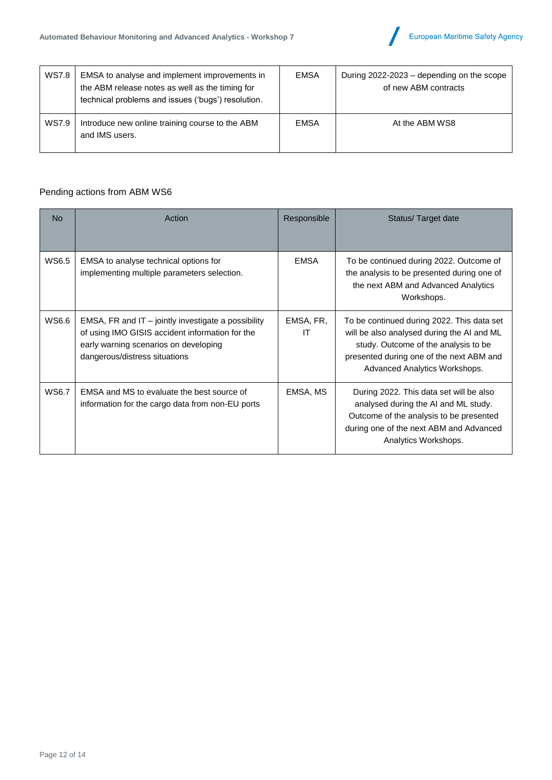

| <b>WS7.8</b> | EMSA to analyse and implement improvements in<br>the ABM release notes as well as the timing for<br>technical problems and issues ('bugs') resolution. | <b>EMSA</b> | During 2022-2023 – depending on the scope<br>of new ABM contracts |
|--------------|--------------------------------------------------------------------------------------------------------------------------------------------------------|-------------|-------------------------------------------------------------------|
| WS7.9        | Introduce new online training course to the ABM<br>and IMS users.                                                                                      | <b>EMSA</b> | At the ABM WS8                                                    |

### Pending actions from ABM WS6

| <b>No</b>    | Action                                                                                                                                                                             | Responsible     | Status/Target date                                                                                                                                                                                            |
|--------------|------------------------------------------------------------------------------------------------------------------------------------------------------------------------------------|-----------------|---------------------------------------------------------------------------------------------------------------------------------------------------------------------------------------------------------------|
| WS6.5        | EMSA to analyse technical options for<br>implementing multiple parameters selection.                                                                                               | <b>EMSA</b>     | To be continued during 2022. Outcome of<br>the analysis to be presented during one of<br>the next ABM and Advanced Analytics<br>Workshops.                                                                    |
| WS6.6        | EMSA, FR and IT $-$ jointly investigate a possibility<br>of using IMO GISIS accident information for the<br>early warning scenarios on developing<br>dangerous/distress situations | EMSA, FR,<br>IT | To be continued during 2022. This data set<br>will be also analysed during the AI and ML<br>study. Outcome of the analysis to be<br>presented during one of the next ABM and<br>Advanced Analytics Workshops. |
| <b>WS6.7</b> | EMSA and MS to evaluate the best source of<br>information for the cargo data from non-EU ports                                                                                     | EMSA, MS        | During 2022. This data set will be also<br>analysed during the AI and ML study.<br>Outcome of the analysis to be presented<br>during one of the next ABM and Advanced<br>Analytics Workshops.                 |